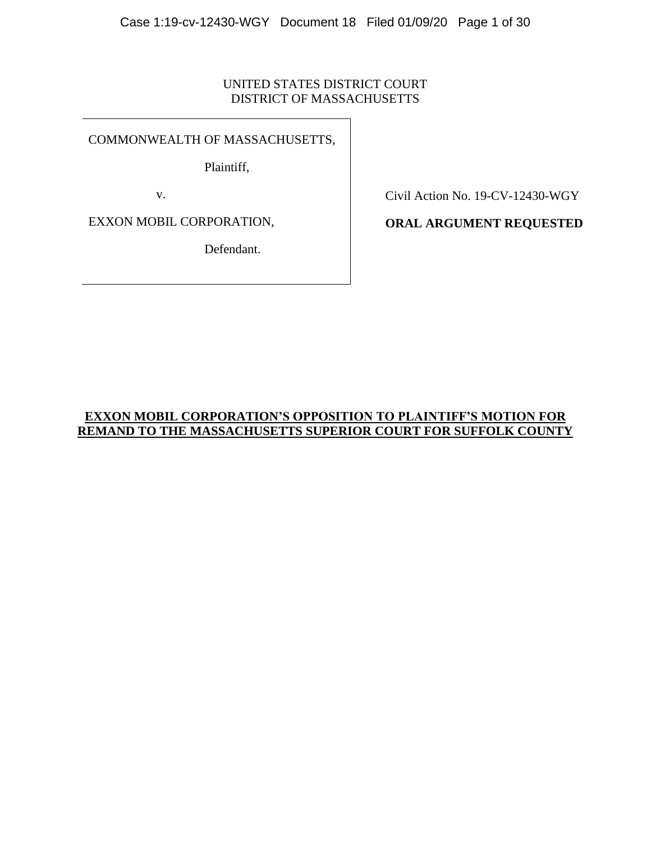### UNITED STATES DISTRICT COURT DISTRICT OF MASSACHUSETTS

COMMONWEALTH OF MASSACHUSETTS,

Plaintiff,

v.

EXXON MOBIL CORPORATION,

Defendant.

Civil Action No. 19-CV-12430-WGY

## **ORAL ARGUMENT REQUESTED**

# **EXXON MOBIL CORPORATION'S OPPOSITION TO PLAINTIFF'S MOTION FOR REMAND TO THE MASSACHUSETTS SUPERIOR COURT FOR SUFFOLK COUNTY**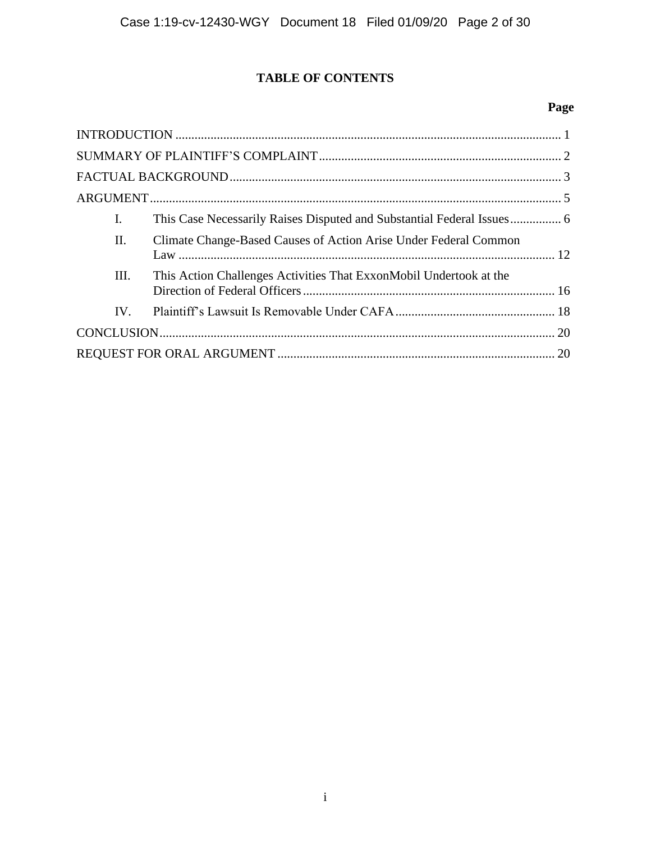# **TABLE OF CONTENTS**

# **Page**

| Ι.       |                                                                    |  |
|----------|--------------------------------------------------------------------|--|
| Π.       | Climate Change-Based Causes of Action Arise Under Federal Common   |  |
| Ш.       | This Action Challenges Activities That ExxonMobil Undertook at the |  |
| $IV_{-}$ |                                                                    |  |
|          |                                                                    |  |
|          |                                                                    |  |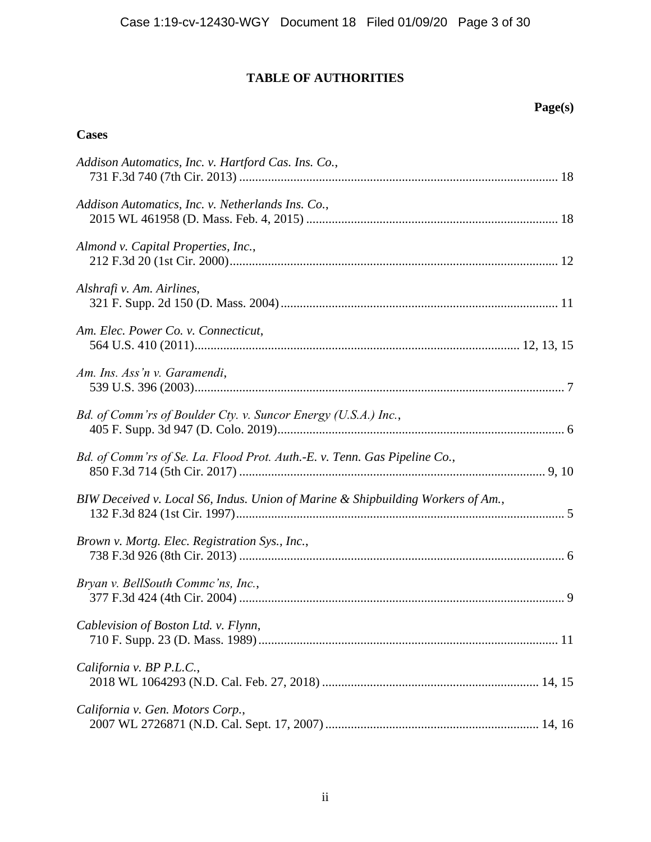# **TABLE OF AUTHORITIES**

# **Page(s)**

# **Cases**

| Addison Automatics, Inc. v. Hartford Cas. Ins. Co.,                             |
|---------------------------------------------------------------------------------|
| Addison Automatics, Inc. v. Netherlands Ins. Co.,                               |
| Almond v. Capital Properties, Inc.,                                             |
| Alshrafi v. Am. Airlines,                                                       |
| Am. Elec. Power Co. v. Connecticut,                                             |
| Am. Ins. Ass'n v. Garamendi,                                                    |
| Bd. of Comm'rs of Boulder Cty. v. Suncor Energy (U.S.A.) Inc.,                  |
| Bd. of Comm'rs of Se. La. Flood Prot. Auth.-E. v. Tenn. Gas Pipeline Co.,       |
| BIW Deceived v. Local S6, Indus. Union of Marine & Shipbuilding Workers of Am., |
| Brown v. Mortg. Elec. Registration Sys., Inc.,                                  |
| Bryan v. BellSouth Commc'ns, Inc.,                                              |
| Cablevision of Boston Ltd. v. Flynn,                                            |
| California v. BP P.L.C.,                                                        |
| California v. Gen. Motors Corp.,                                                |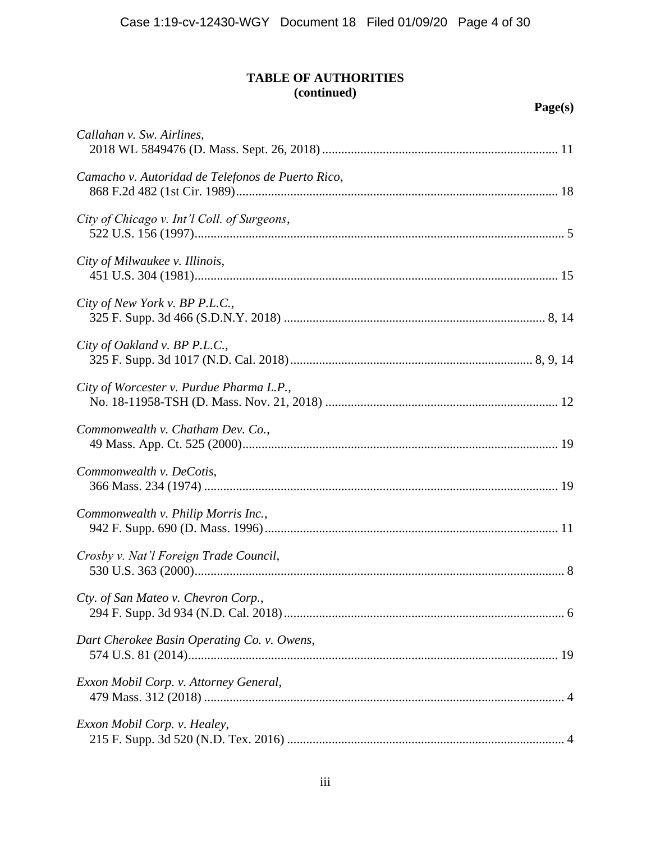| Callahan v. Sw. Airlines,                         |  |
|---------------------------------------------------|--|
| Camacho v. Autoridad de Telefonos de Puerto Rico, |  |
| City of Chicago v. Int'l Coll. of Surgeons,       |  |
| City of Milwaukee v. Illinois,                    |  |
| City of New York v. BP P.L.C.,                    |  |
| City of Oakland v. BP P.L.C.,                     |  |
| City of Worcester v. Purdue Pharma L.P.,          |  |
| Commonwealth v. Chatham Dev. Co.,                 |  |
| Commonwealth v. DeCotis,                          |  |
| Commonwealth v. Philip Morris Inc.,               |  |
| Crosby v. Nat'l Foreign Trade Council,            |  |
| Cty. of San Mateo v. Chevron Corp.,               |  |
| Dart Cherokee Basin Operating Co. v. Owens,       |  |
| Exxon Mobil Corp. v. Attorney General,            |  |
| Exxon Mobil Corp. v. Healey,                      |  |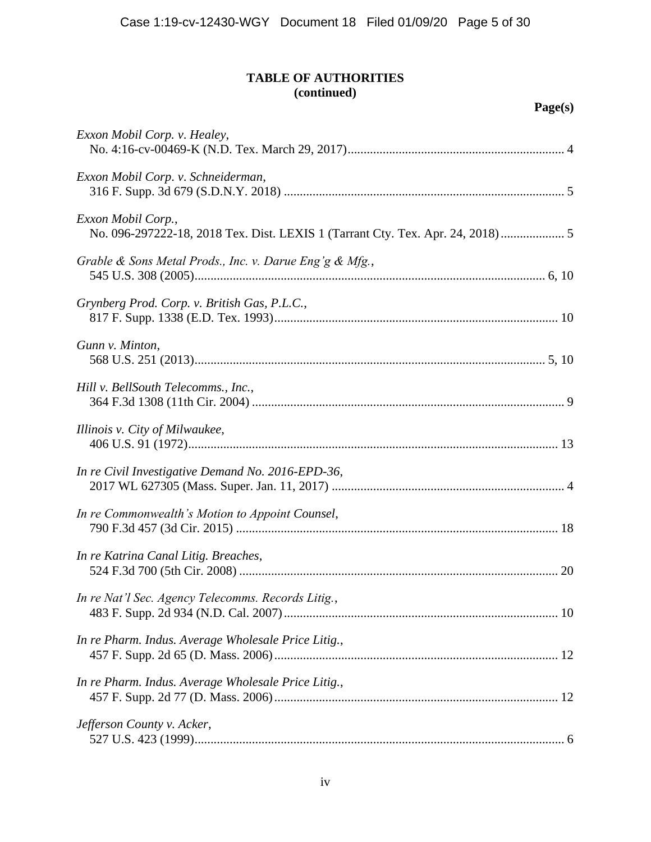|--|

| Exxon Mobil Corp. v. Healey,                                                                          |
|-------------------------------------------------------------------------------------------------------|
| Exxon Mobil Corp. v. Schneiderman,                                                                    |
| Exxon Mobil Corp.,<br>No. 096-297222-18, 2018 Tex. Dist. LEXIS 1 (Tarrant Cty. Tex. Apr. 24, 2018)  5 |
| Grable & Sons Metal Prods., Inc. v. Darue Eng'g & Mfg.,                                               |
| Grynberg Prod. Corp. v. British Gas, P.L.C.,                                                          |
| Gunn v. Minton,                                                                                       |
| Hill v. BellSouth Telecomms., Inc.,                                                                   |
| Illinois v. City of Milwaukee,                                                                        |
| In re Civil Investigative Demand No. 2016-EPD-36,                                                     |
| In re Commonwealth's Motion to Appoint Counsel,                                                       |
| In re Katrina Canal Litig. Breaches,                                                                  |
| In re Nat'l Sec. Agency Telecomms. Records Litig.,                                                    |
| In re Pharm. Indus. Average Wholesale Price Litig.,                                                   |
| In re Pharm. Indus. Average Wholesale Price Litig.,                                                   |
| Jefferson County v. Acker,                                                                            |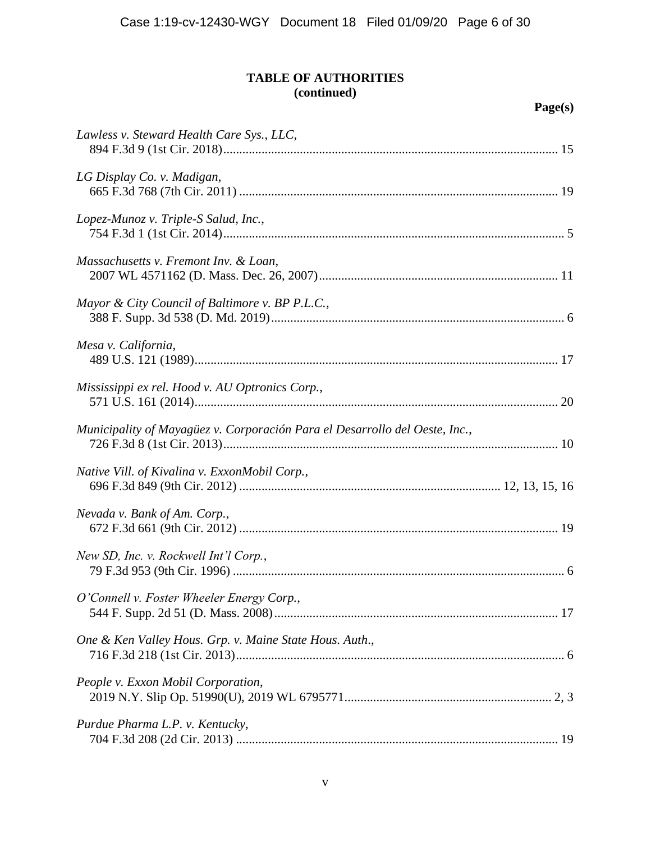| Lawless v. Steward Health Care Sys., LLC,                                   |
|-----------------------------------------------------------------------------|
| LG Display Co. v. Madigan,                                                  |
| Lopez-Munoz v. Triple-S Salud, Inc.,                                        |
| Massachusetts v. Fremont Inv. & Loan,                                       |
| Mayor & City Council of Baltimore v. BP P.L.C.,                             |
| Mesa v. California,                                                         |
| Mississippi ex rel. Hood v. AU Optronics Corp.,                             |
| Municipality of Mayagüez v. Corporación Para el Desarrollo del Oeste, Inc., |
| Native Vill. of Kivalina v. ExxonMobil Corp.,                               |
| Nevada v. Bank of Am. Corp.,                                                |
| New SD, Inc. v. Rockwell Int'l Corp.,                                       |
| O'Connell v. Foster Wheeler Energy Corp.,                                   |
| One & Ken Valley Hous. Grp. v. Maine State Hous. Auth.,                     |
| People v. Exxon Mobil Corporation,                                          |
| Purdue Pharma L.P. v. Kentucky,                                             |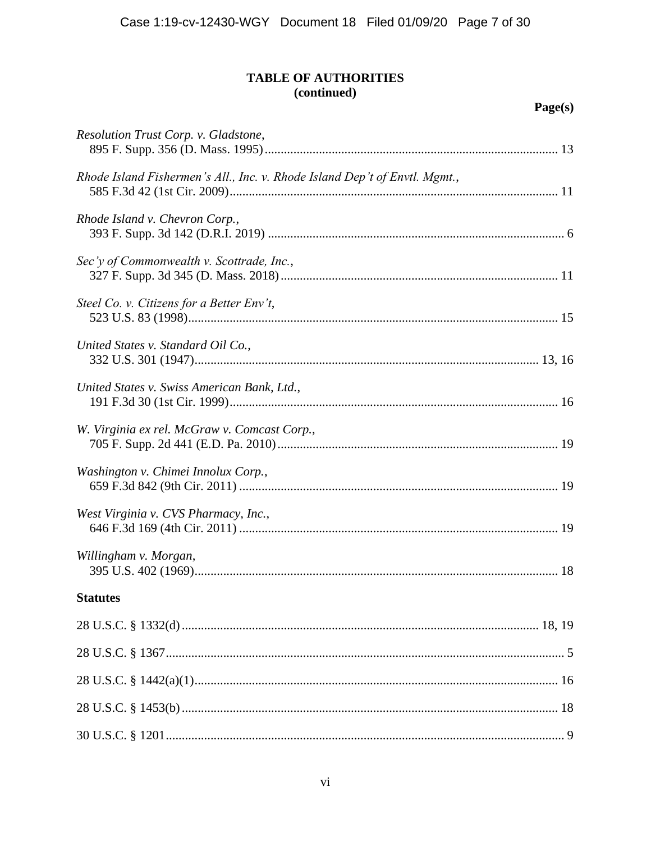# Page(s)

| Resolution Trust Corp. v. Gladstone,                                       |
|----------------------------------------------------------------------------|
| Rhode Island Fishermen's All., Inc. v. Rhode Island Dep't of Envtl. Mgmt., |
| Rhode Island v. Chevron Corp.,                                             |
| Sec'y of Commonwealth v. Scottrade, Inc.,                                  |
| Steel Co. v. Citizens for a Better Env't,                                  |
| United States v. Standard Oil Co.,                                         |
| United States v. Swiss American Bank, Ltd.,                                |
| W. Virginia ex rel. McGraw v. Comcast Corp.,                               |
| Washington v. Chimei Innolux Corp.,                                        |
| West Virginia v. CVS Pharmacy, Inc.,                                       |
| Willingham v. Morgan,                                                      |
| <b>Statutes</b>                                                            |
|                                                                            |
|                                                                            |
|                                                                            |
|                                                                            |
|                                                                            |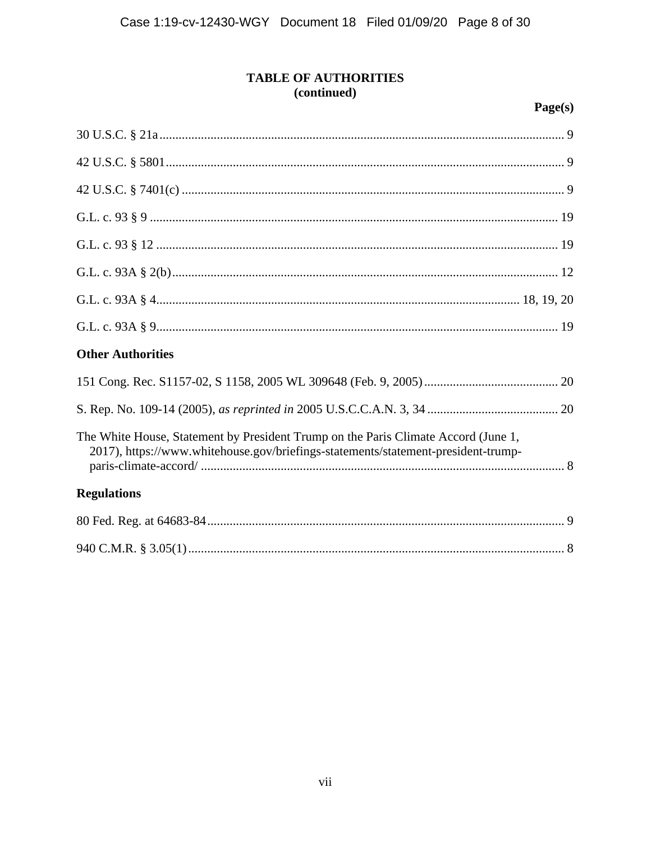| <b>Other Authorities</b>                                                                                                                                                |
|-------------------------------------------------------------------------------------------------------------------------------------------------------------------------|
|                                                                                                                                                                         |
|                                                                                                                                                                         |
|                                                                                                                                                                         |
| The White House, Statement by President Trump on the Paris Climate Accord (June 1,<br>2017), https://www.whitehouse.gov/briefings-statements/statement-president-trump- |
| <b>Regulations</b>                                                                                                                                                      |
|                                                                                                                                                                         |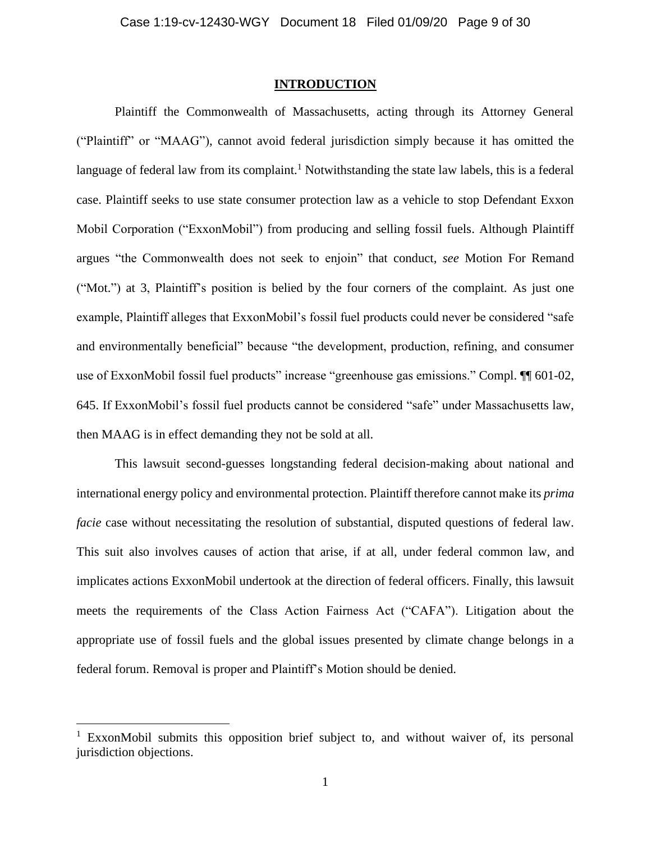#### **INTRODUCTION**

<span id="page-8-0"></span>Plaintiff the Commonwealth of Massachusetts, acting through its Attorney General ("Plaintiff" or "MAAG"), cannot avoid federal jurisdiction simply because it has omitted the language of federal law from its complaint.<sup>1</sup> Notwithstanding the state law labels, this is a federal case. Plaintiff seeks to use state consumer protection law as a vehicle to stop Defendant Exxon Mobil Corporation ("ExxonMobil") from producing and selling fossil fuels. Although Plaintiff argues "the Commonwealth does not seek to enjoin" that conduct, *see* Motion For Remand ("Mot.") at 3, Plaintiff's position is belied by the four corners of the complaint. As just one example, Plaintiff alleges that ExxonMobil's fossil fuel products could never be considered "safe and environmentally beneficial" because "the development, production, refining, and consumer use of ExxonMobil fossil fuel products" increase "greenhouse gas emissions." Compl. ¶¶ 601-02, 645. If ExxonMobil's fossil fuel products cannot be considered "safe" under Massachusetts law, then MAAG is in effect demanding they not be sold at all.

This lawsuit second-guesses longstanding federal decision-making about national and international energy policy and environmental protection. Plaintiff therefore cannot make its *prima facie* case without necessitating the resolution of substantial, disputed questions of federal law. This suit also involves causes of action that arise, if at all, under federal common law, and implicates actions ExxonMobil undertook at the direction of federal officers. Finally, this lawsuit meets the requirements of the Class Action Fairness Act ("CAFA"). Litigation about the appropriate use of fossil fuels and the global issues presented by climate change belongs in a federal forum. Removal is proper and Plaintiff's Motion should be denied.

<sup>&</sup>lt;sup>1</sup> ExxonMobil submits this opposition brief subject to, and without waiver of, its personal jurisdiction objections.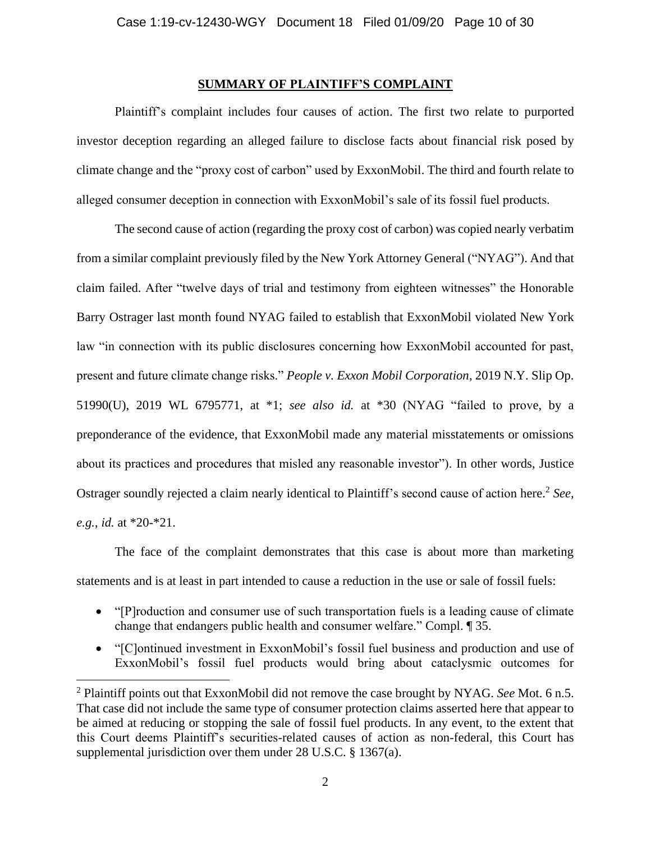#### **SUMMARY OF PLAINTIFF'S COMPLAINT**

<span id="page-9-0"></span>Plaintiff's complaint includes four causes of action. The first two relate to purported investor deception regarding an alleged failure to disclose facts about financial risk posed by climate change and the "proxy cost of carbon" used by ExxonMobil. The third and fourth relate to alleged consumer deception in connection with ExxonMobil's sale of its fossil fuel products.

The second cause of action (regarding the proxy cost of carbon) was copied nearly verbatim from a similar complaint previously filed by the New York Attorney General ("NYAG"). And that claim failed. After "twelve days of trial and testimony from eighteen witnesses" the Honorable Barry Ostrager last month found NYAG failed to establish that ExxonMobil violated New York law "in connection with its public disclosures concerning how ExxonMobil accounted for past, present and future climate change risks." *People v. Exxon Mobil Corporation*, 2019 N.Y. Slip Op. 51990(U), 2019 WL 6795771, at \*1; *see also id.* at \*30 (NYAG "failed to prove, by a preponderance of the evidence, that ExxonMobil made any material misstatements or omissions about its practices and procedures that misled any reasonable investor"). In other words, Justice Ostrager soundly rejected a claim nearly identical to Plaintiff's second cause of action here. 2 *See, e.g.*, *id.* at \*20-\*21.

The face of the complaint demonstrates that this case is about more than marketing statements and is at least in part intended to cause a reduction in the use or sale of fossil fuels:

- "[P]roduction and consumer use of such transportation fuels is a leading cause of climate change that endangers public health and consumer welfare." Compl. ¶ 35.
- "[C]ontinued investment in ExxonMobil's fossil fuel business and production and use of ExxonMobil's fossil fuel products would bring about cataclysmic outcomes for

<sup>2</sup> Plaintiff points out that ExxonMobil did not remove the case brought by NYAG. *See* Mot. 6 n.5. That case did not include the same type of consumer protection claims asserted here that appear to be aimed at reducing or stopping the sale of fossil fuel products. In any event, to the extent that this Court deems Plaintiff's securities-related causes of action as non-federal, this Court has supplemental jurisdiction over them under 28 U.S.C. § 1367(a).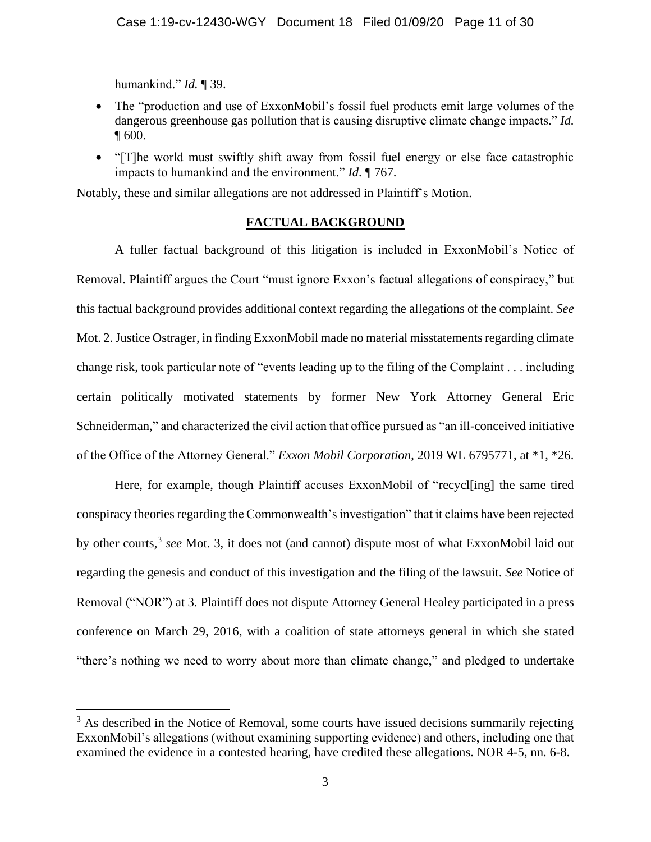humankind." *Id.* ¶ 39.

- The "production and use of ExxonMobil's fossil fuel products emit large volumes of the dangerous greenhouse gas pollution that is causing disruptive climate change impacts." *Id.*  $\P$  600.
- "[T]he world must swiftly shift away from fossil fuel energy or else face catastrophic impacts to humankind and the environment." *Id*. ¶ 767.

<span id="page-10-0"></span>Notably, these and similar allegations are not addressed in Plaintiff's Motion.

### **FACTUAL BACKGROUND**

A fuller factual background of this litigation is included in ExxonMobil's Notice of Removal. Plaintiff argues the Court "must ignore Exxon's factual allegations of conspiracy," but this factual background provides additional context regarding the allegations of the complaint. *See*  Mot. 2.Justice Ostrager, in finding ExxonMobil made no material misstatements regarding climate change risk, took particular note of "events leading up to the filing of the Complaint . . . including certain politically motivated statements by former New York Attorney General Eric Schneiderman," and characterized the civil action that office pursued as "an ill-conceived initiative of the Office of the Attorney General." *Exxon Mobil Corporation*, 2019 WL 6795771, at \*1, \*26.

Here, for example, though Plaintiff accuses ExxonMobil of "recycl[ing] the same tired conspiracy theories regarding the Commonwealth's investigation" that it claims have been rejected by other courts,<sup>3</sup> see Mot. 3, it does not (and cannot) dispute most of what ExxonMobil laid out regarding the genesis and conduct of this investigation and the filing of the lawsuit. *See* Notice of Removal ("NOR") at 3. Plaintiff does not dispute Attorney General Healey participated in a press conference on March 29, 2016, with a coalition of state attorneys general in which she stated "there's nothing we need to worry about more than climate change," and pledged to undertake

 $3$  As described in the Notice of Removal, some courts have issued decisions summarily rejecting ExxonMobil's allegations (without examining supporting evidence) and others, including one that examined the evidence in a contested hearing, have credited these allegations. NOR 4-5, nn. 6-8.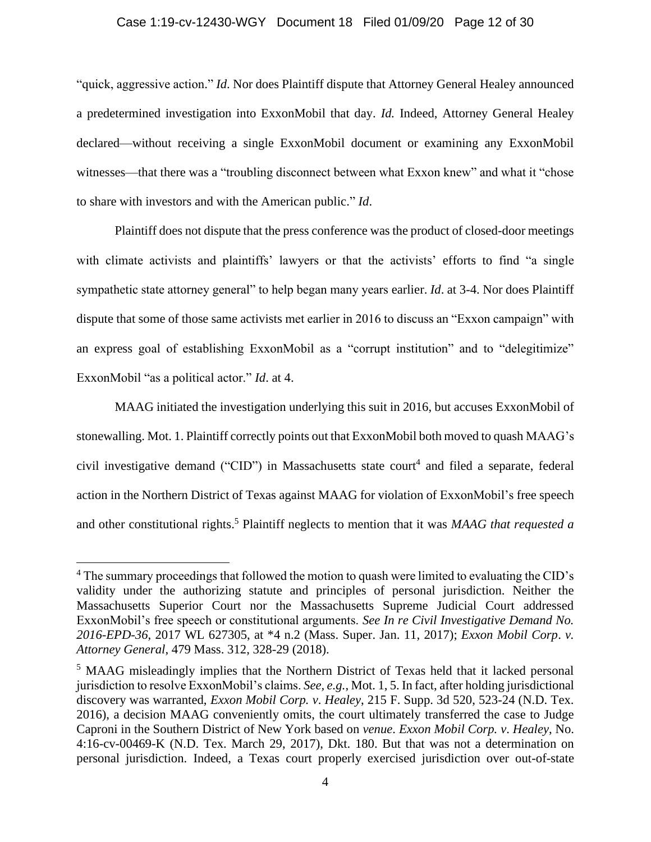#### Case 1:19-cv-12430-WGY Document 18 Filed 01/09/20 Page 12 of 30

"quick, aggressive action." *Id*. Nor does Plaintiff dispute that Attorney General Healey announced a predetermined investigation into ExxonMobil that day. *Id.* Indeed, Attorney General Healey declared—without receiving a single ExxonMobil document or examining any ExxonMobil witnesses—that there was a "troubling disconnect between what Exxon knew" and what it "chose to share with investors and with the American public." *Id*.

Plaintiff does not dispute that the press conference was the product of closed-door meetings with climate activists and plaintiffs' lawyers or that the activists' efforts to find "a single sympathetic state attorney general" to help began many years earlier. *Id*. at 3-4. Nor does Plaintiff dispute that some of those same activists met earlier in 2016 to discuss an "Exxon campaign" with an express goal of establishing ExxonMobil as a "corrupt institution" and to "delegitimize" ExxonMobil "as a political actor." *Id*. at 4.

MAAG initiated the investigation underlying this suit in 2016, but accuses ExxonMobil of stonewalling. Mot. 1. Plaintiff correctly points out that ExxonMobil both moved to quash MAAG's civil investigative demand ("CID") in Massachusetts state court<sup>4</sup> and filed a separate, federal action in the Northern District of Texas against MAAG for violation of ExxonMobil's free speech and other constitutional rights. <sup>5</sup> Plaintiff neglects to mention that it was *MAAG that requested a* 

 $4$  The summary proceedings that followed the motion to quash were limited to evaluating the CID's validity under the authorizing statute and principles of personal jurisdiction. Neither the Massachusetts Superior Court nor the Massachusetts Supreme Judicial Court addressed ExxonMobil's free speech or constitutional arguments. *See In re Civil Investigative Demand No. 2016-EPD-36*, 2017 WL 627305, at \*4 n.2 (Mass. Super. Jan. 11, 2017); *Exxon Mobil Corp*. *v. Attorney General*, 479 Mass. 312, 328-29 (2018).

<sup>&</sup>lt;sup>5</sup> MAAG misleadingly implies that the Northern District of Texas held that it lacked personal jurisdiction to resolve ExxonMobil's claims. *See, e.g.*, Mot. 1, 5. In fact, after holding jurisdictional discovery was warranted, *Exxon Mobil Corp. v*. *Healey*, 215 F. Supp. 3d 520, 523-24 (N.D. Tex. 2016), a decision MAAG conveniently omits, the court ultimately transferred the case to Judge Caproni in the Southern District of New York based on *venue*. *Exxon Mobil Corp. v*. *Healey*, No. 4:16-cv-00469-K (N.D. Tex. March 29, 2017), Dkt. 180. But that was not a determination on personal jurisdiction. Indeed, a Texas court properly exercised jurisdiction over out-of-state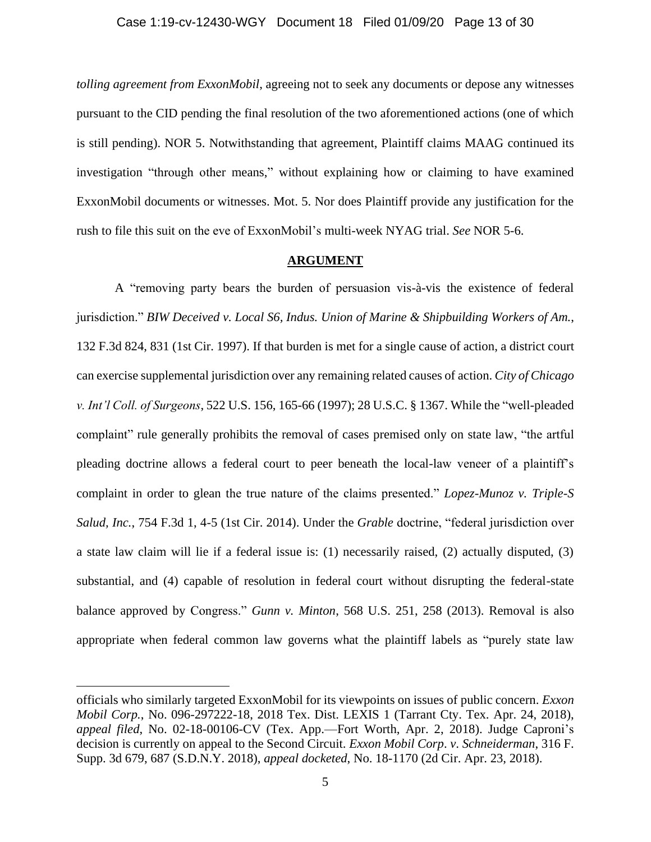#### Case 1:19-cv-12430-WGY Document 18 Filed 01/09/20 Page 13 of 30

*tolling agreement from ExxonMobil*, agreeing not to seek any documents or depose any witnesses pursuant to the CID pending the final resolution of the two aforementioned actions (one of which is still pending). NOR 5. Notwithstanding that agreement, Plaintiff claims MAAG continued its investigation "through other means," without explaining how or claiming to have examined ExxonMobil documents or witnesses. Mot. 5. Nor does Plaintiff provide any justification for the rush to file this suit on the eve of ExxonMobil's multi-week NYAG trial. *See* NOR 5-6.

#### **ARGUMENT**

<span id="page-12-0"></span>A "removing party bears the burden of persuasion vis-à-vis the existence of federal jurisdiction." *BIW Deceived v. Local S6, Indus. Union of Marine & Shipbuilding Workers of Am.*, 132 F.3d 824, 831 (1st Cir. 1997). If that burden is met for a single cause of action, a district court can exercise supplemental jurisdiction over any remaining related causes of action. *City of Chicago v. Int'l Coll. of Surgeons*, 522 U.S. 156, 165-66 (1997); 28 U.S.C. § 1367. While the "well-pleaded complaint" rule generally prohibits the removal of cases premised only on state law, "the artful pleading doctrine allows a federal court to peer beneath the local-law veneer of a plaintiff's complaint in order to glean the true nature of the claims presented." *Lopez-Munoz v. Triple-S Salud, Inc.*, 754 F.3d 1, 4-5 (1st Cir. 2014). Under the *Grable* doctrine, "federal jurisdiction over a state law claim will lie if a federal issue is: (1) necessarily raised, (2) actually disputed, (3) substantial, and (4) capable of resolution in federal court without disrupting the federal-state balance approved by Congress." *Gunn v. Minton*, 568 U.S. 251, 258 (2013). Removal is also appropriate when federal common law governs what the plaintiff labels as "purely state law

officials who similarly targeted ExxonMobil for its viewpoints on issues of public concern. *Exxon Mobil Corp.*, No. 096-297222-18, 2018 Tex. Dist. LEXIS 1 (Tarrant Cty. Tex. Apr. 24, 2018), *appeal filed*, No. 02-18-00106-CV (Tex. App.—Fort Worth, Apr. 2, 2018). Judge Caproni's decision is currently on appeal to the Second Circuit. *Exxon Mobil Corp*. *v*. *Schneiderman*, 316 F. Supp. 3d 679, 687 (S.D.N.Y. 2018), *appeal docketed*, No. 18-1170 (2d Cir. Apr. 23, 2018).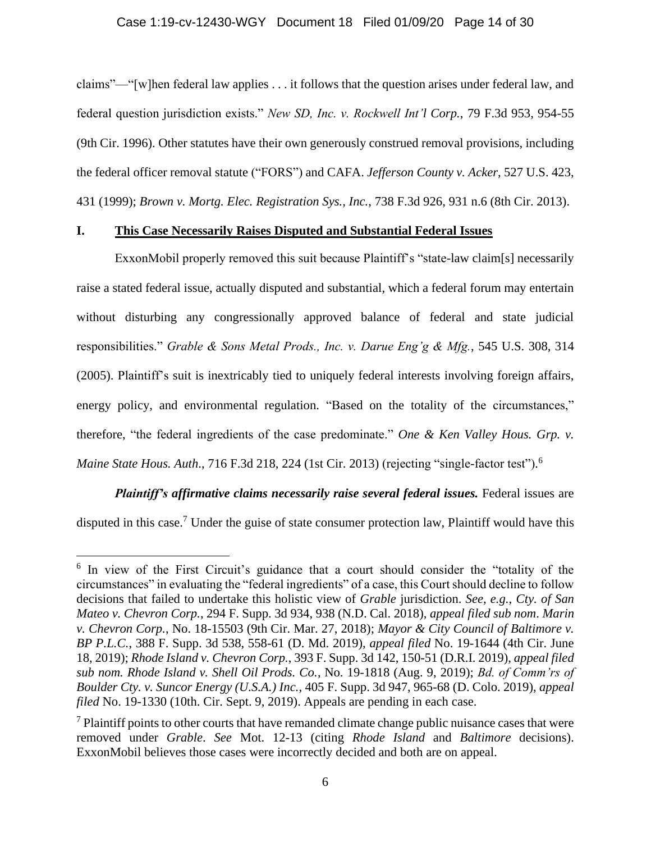#### Case 1:19-cv-12430-WGY Document 18 Filed 01/09/20 Page 14 of 30

claims"—"[w]hen federal law applies . . . it follows that the question arises under federal law, and federal question jurisdiction exists." *New SD, Inc. v. Rockwell Int'l Corp.*, 79 F.3d 953, 954-55 (9th Cir. 1996). Other statutes have their own generously construed removal provisions, including the federal officer removal statute ("FORS") and CAFA. *Jefferson County v. Acker*, 527 U.S. 423, 431 (1999); *Brown v. Mortg. Elec. Registration Sys., Inc.*, 738 F.3d 926, 931 n.6 (8th Cir. 2013).

### <span id="page-13-0"></span>**I. This Case Necessarily Raises Disputed and Substantial Federal Issues**

ExxonMobil properly removed this suit because Plaintiff's "state-law claim[s] necessarily raise a stated federal issue, actually disputed and substantial, which a federal forum may entertain without disturbing any congressionally approved balance of federal and state judicial responsibilities." *Grable & Sons Metal Prods., Inc. v. Darue Eng'g & Mfg.*, 545 U.S. 308, 314 (2005). Plaintiff's suit is inextricably tied to uniquely federal interests involving foreign affairs, energy policy, and environmental regulation. "Based on the totality of the circumstances," therefore, "the federal ingredients of the case predominate." *One & Ken Valley Hous. Grp. v. Maine State Hous. Auth*., 716 F.3d 218, 224 (1st Cir. 2013) (rejecting "single-factor test"). 6

*Plaintiff's affirmative claims necessarily raise several federal issues.* Federal issues are disputed in this case.<sup>7</sup> Under the guise of state consumer protection law, Plaintiff would have this

<sup>&</sup>lt;sup>6</sup> In view of the First Circuit's guidance that a court should consider the "totality of the circumstances" in evaluating the "federal ingredients" of a case, this Court should decline to follow decisions that failed to undertake this holistic view of *Grable* jurisdiction. *See, e.g.*, *Cty. of San Mateo v. Chevron Corp.*, 294 F. Supp. 3d 934, 938 (N.D. Cal. 2018), *appeal filed sub nom*. *Marin v. Chevron Corp.*, No. 18-15503 (9th Cir. Mar. 27, 2018); *Mayor & City Council of Baltimore v. BP P.L.C.*, 388 F. Supp. 3d 538, 558-61 (D. Md. 2019), *appeal filed* No. 19-1644 (4th Cir. June 18, 2019); *Rhode Island v. Chevron Corp.*, 393 F. Supp. 3d 142, 150-51 (D.R.I. 2019), *appeal filed sub nom. Rhode Island v. Shell Oil Prods. Co.*, No. 19-1818 (Aug. 9, 2019); *Bd. of Comm'rs of Boulder Cty. v. Suncor Energy (U.S.A.) Inc.*, 405 F. Supp. 3d 947, 965-68 (D. Colo. 2019), *appeal filed* No. 19-1330 (10th. Cir. Sept. 9, 2019). Appeals are pending in each case.

 $\gamma$  Plaintiff points to other courts that have remanded climate change public nuisance cases that were removed under *Grable*. *See* Mot. 12-13 (citing *Rhode Island* and *Baltimore* decisions). ExxonMobil believes those cases were incorrectly decided and both are on appeal.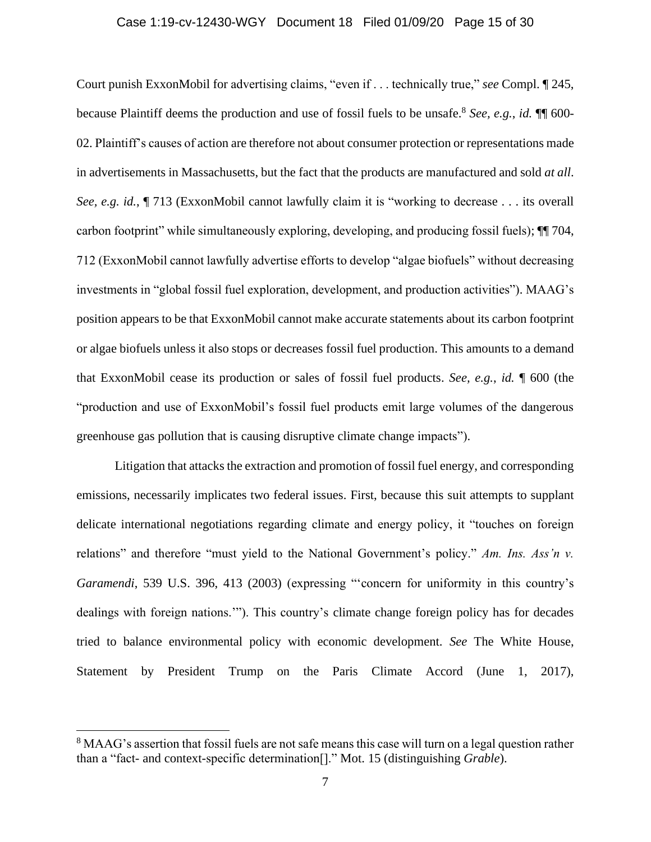#### Case 1:19-cv-12430-WGY Document 18 Filed 01/09/20 Page 15 of 30

Court punish ExxonMobil for advertising claims, "even if . . . technically true," *see* Compl. ¶ 245, because Plaintiff deems the production and use of fossil fuels to be unsafe.<sup>8</sup> *See, e.g.*, *id.* ¶¶ 600- 02. Plaintiff's causes of action are therefore not about consumer protection or representations made in advertisements in Massachusetts, but the fact that the products are manufactured and sold *at all*. *See, e.g. id.*, ¶ 713 (ExxonMobil cannot lawfully claim it is "working to decrease . . . its overall carbon footprint" while simultaneously exploring, developing, and producing fossil fuels); ¶¶ 704, 712 (ExxonMobil cannot lawfully advertise efforts to develop "algae biofuels" without decreasing investments in "global fossil fuel exploration, development, and production activities"). MAAG's position appears to be that ExxonMobil cannot make accurate statements about its carbon footprint or algae biofuels unless it also stops or decreases fossil fuel production. This amounts to a demand that ExxonMobil cease its production or sales of fossil fuel products. *See, e.g.*, *id.* ¶ 600 (the "production and use of ExxonMobil's fossil fuel products emit large volumes of the dangerous greenhouse gas pollution that is causing disruptive climate change impacts").

Litigation that attacks the extraction and promotion of fossil fuel energy, and corresponding emissions, necessarily implicates two federal issues. First, because this suit attempts to supplant delicate international negotiations regarding climate and energy policy, it "touches on foreign relations" and therefore "must yield to the National Government's policy." *Am. Ins. Ass'n v. Garamendi*, 539 U.S. 396, 413 (2003) (expressing "'concern for uniformity in this country's dealings with foreign nations.'"). This country's climate change foreign policy has for decades tried to balance environmental policy with economic development. *See* The White House, Statement by President Trump on the Paris Climate Accord (June 1, 2017),

<sup>&</sup>lt;sup>8</sup> MAAG's assertion that fossil fuels are not safe means this case will turn on a legal question rather than a "fact- and context-specific determination[]." Mot. 15 (distinguishing *Grable*).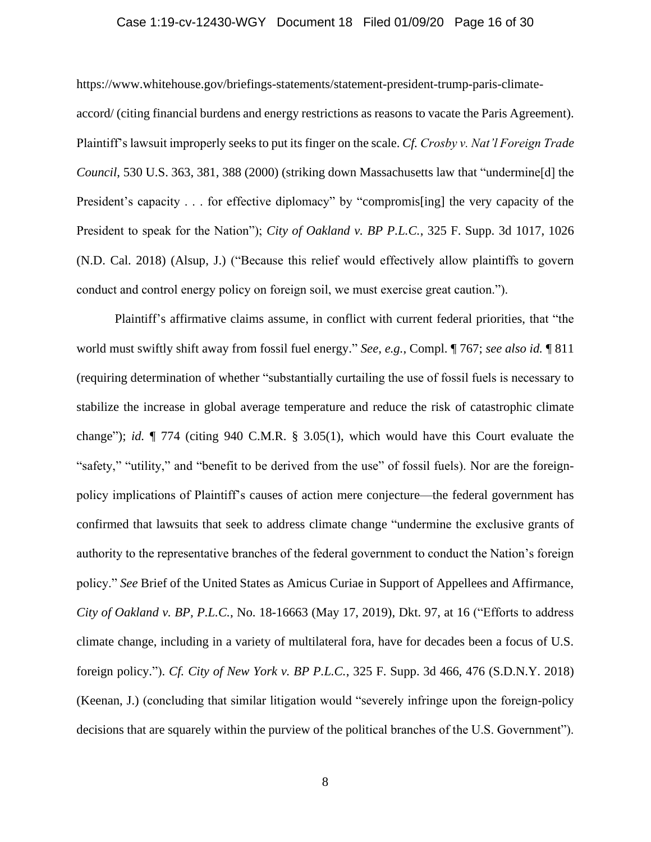#### Case 1:19-cv-12430-WGY Document 18 Filed 01/09/20 Page 16 of 30

https://www.whitehouse.gov/briefings-statements/statement-president-trump-paris-climate-

accord/ (citing financial burdens and energy restrictions as reasons to vacate the Paris Agreement). Plaintiff's lawsuit improperly seeks to put its finger on the scale. *Cf. Crosby v. Nat'l Foreign Trade Council*, 530 U.S. 363, 381, 388 (2000) (striking down Massachusetts law that "undermine[d] the President's capacity . . . for effective diplomacy" by "compromis[ing] the very capacity of the President to speak for the Nation"); *City of Oakland v. BP P.L.C.*, 325 F. Supp. 3d 1017, 1026 (N.D. Cal. 2018) (Alsup, J.) ("Because this relief would effectively allow plaintiffs to govern conduct and control energy policy on foreign soil, we must exercise great caution.").

Plaintiff's affirmative claims assume, in conflict with current federal priorities, that "the world must swiftly shift away from fossil fuel energy." *See, e.g.*, Compl. ¶ 767; *see also id.* ¶ 811 (requiring determination of whether "substantially curtailing the use of fossil fuels is necessary to stabilize the increase in global average temperature and reduce the risk of catastrophic climate change"); *id.* ¶ 774 (citing 940 C.M.R. § 3.05(1), which would have this Court evaluate the "safety," "utility," and "benefit to be derived from the use" of fossil fuels). Nor are the foreignpolicy implications of Plaintiff's causes of action mere conjecture—the federal government has confirmed that lawsuits that seek to address climate change "undermine the exclusive grants of authority to the representative branches of the federal government to conduct the Nation's foreign policy." *See* Brief of the United States as Amicus Curiae in Support of Appellees and Affirmance, *City of Oakland v. BP, P.L.C.*, No. 18-16663 (May 17, 2019), Dkt. 97, at 16 ("Efforts to address climate change, including in a variety of multilateral fora, have for decades been a focus of U.S. foreign policy."). *Cf. City of New York v. BP P.L.C.*, 325 F. Supp. 3d 466, 476 (S.D.N.Y. 2018) (Keenan, J.) (concluding that similar litigation would "severely infringe upon the foreign-policy decisions that are squarely within the purview of the political branches of the U.S. Government").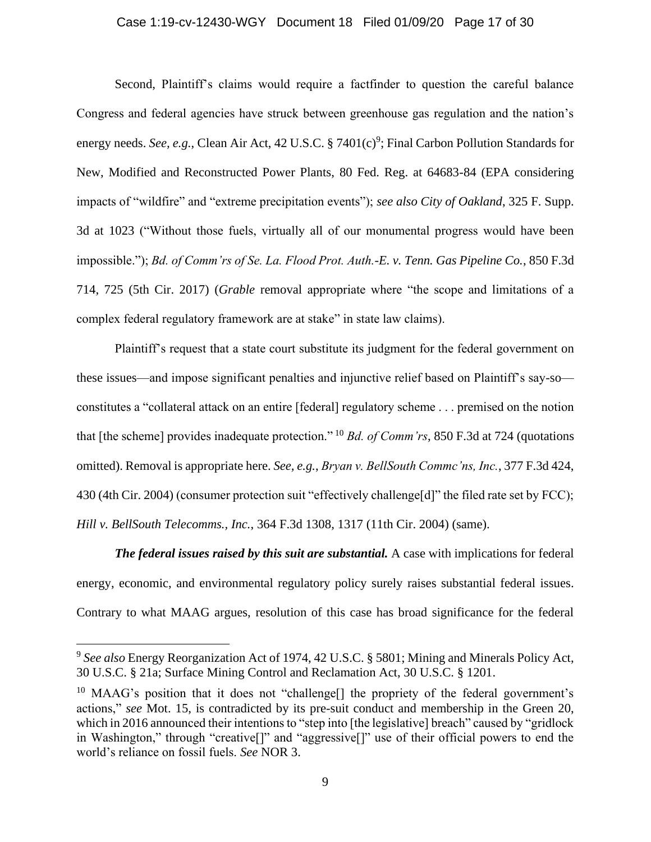#### Case 1:19-cv-12430-WGY Document 18 Filed 01/09/20 Page 17 of 30

Second, Plaintiff's claims would require a factfinder to question the careful balance Congress and federal agencies have struck between greenhouse gas regulation and the nation's energy needs. *See, e.g.*, Clean Air Act, 42 U.S.C. § 7401(c)<sup>9</sup>; Final Carbon Pollution Standards for New, Modified and Reconstructed Power Plants, 80 Fed. Reg. at 64683-84 (EPA considering impacts of "wildfire" and "extreme precipitation events"); *see also City of Oakland*, 325 F. Supp. 3d at 1023 ("Without those fuels, virtually all of our monumental progress would have been impossible."); *Bd. of Comm'rs of Se. La. Flood Prot. Auth.-E. v. Tenn. Gas Pipeline Co.*, 850 F.3d 714, 725 (5th Cir. 2017) (*Grable* removal appropriate where "the scope and limitations of a complex federal regulatory framework are at stake" in state law claims).

Plaintiff's request that a state court substitute its judgment for the federal government on these issues—and impose significant penalties and injunctive relief based on Plaintiff's say-so constitutes a "collateral attack on an entire [federal] regulatory scheme . . . premised on the notion that [the scheme] provides inadequate protection." <sup>10</sup> *Bd. of Comm'rs*, 850 F.3d at 724 (quotations omitted). Removal is appropriate here. *See, e.g.*, *Bryan v. BellSouth Commc'ns, Inc.*, 377 F.3d 424, 430 (4th Cir. 2004) (consumer protection suit "effectively challenge[d]" the filed rate set by FCC); *Hill v. BellSouth Telecomms., Inc.*, 364 F.3d 1308, 1317 (11th Cir. 2004) (same).

*The federal issues raised by this suit are substantial.* A case with implications for federal energy, economic, and environmental regulatory policy surely raises substantial federal issues. Contrary to what MAAG argues, resolution of this case has broad significance for the federal

<sup>9</sup> *See also* Energy Reorganization Act of 1974, 42 U.S.C. § 5801; Mining and Minerals Policy Act, 30 U.S.C. § 21a; Surface Mining Control and Reclamation Act, 30 U.S.C. § 1201.

<sup>&</sup>lt;sup>10</sup> MAAG's position that it does not "challenge<sup>[]</sup> the propriety of the federal government's actions," *see* Mot. 15, is contradicted by its pre-suit conduct and membership in the Green 20, which in 2016 announced their intentions to "step into [the legislative] breach" caused by "gridlock in Washington," through "creative[]" and "aggressive[]" use of their official powers to end the world's reliance on fossil fuels. *See* NOR 3.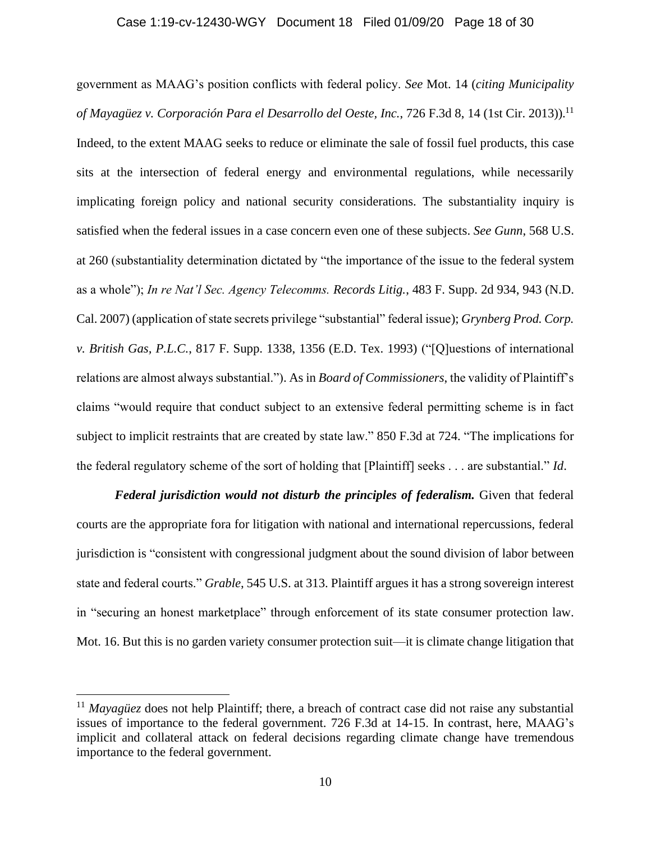#### Case 1:19-cv-12430-WGY Document 18 Filed 01/09/20 Page 18 of 30

government as MAAG's position conflicts with federal policy. *See* Mot. 14 (*citing Municipality of Mayagüez v. Corporación Para el Desarrollo del Oeste, Inc.*, 726 F.3d 8, 14 (1st Cir. 2013)). 11 Indeed, to the extent MAAG seeks to reduce or eliminate the sale of fossil fuel products, this case sits at the intersection of federal energy and environmental regulations, while necessarily implicating foreign policy and national security considerations. The substantiality inquiry is satisfied when the federal issues in a case concern even one of these subjects. *See Gunn*, 568 U.S. at 260 (substantiality determination dictated by "the importance of the issue to the federal system as a whole"); *In re Nat'l Sec. Agency Telecomms. Records Litig.*, 483 F. Supp. 2d 934, 943 (N.D. Cal. 2007) (application of state secrets privilege "substantial" federal issue); *Grynberg Prod. Corp. v. British Gas, P.L.C.*, 817 F. Supp. 1338, 1356 (E.D. Tex. 1993) ("[Q]uestions of international relations are almost always substantial."). As in *Board of Commissioners*, the validity of Plaintiff's claims "would require that conduct subject to an extensive federal permitting scheme is in fact subject to implicit restraints that are created by state law." 850 F.3d at 724. "The implications for the federal regulatory scheme of the sort of holding that [Plaintiff] seeks . . . are substantial." *Id*.

*Federal jurisdiction would not disturb the principles of federalism.* Given that federal courts are the appropriate fora for litigation with national and international repercussions, federal jurisdiction is "consistent with congressional judgment about the sound division of labor between state and federal courts." *Grable*, 545 U.S. at 313. Plaintiff argues it has a strong sovereign interest in "securing an honest marketplace" through enforcement of its state consumer protection law. Mot. 16. But this is no garden variety consumer protection suit—it is climate change litigation that

<sup>&</sup>lt;sup>11</sup> *Mayagüez* does not help Plaintiff; there, a breach of contract case did not raise any substantial issues of importance to the federal government. 726 F.3d at 14-15. In contrast, here, MAAG's implicit and collateral attack on federal decisions regarding climate change have tremendous importance to the federal government.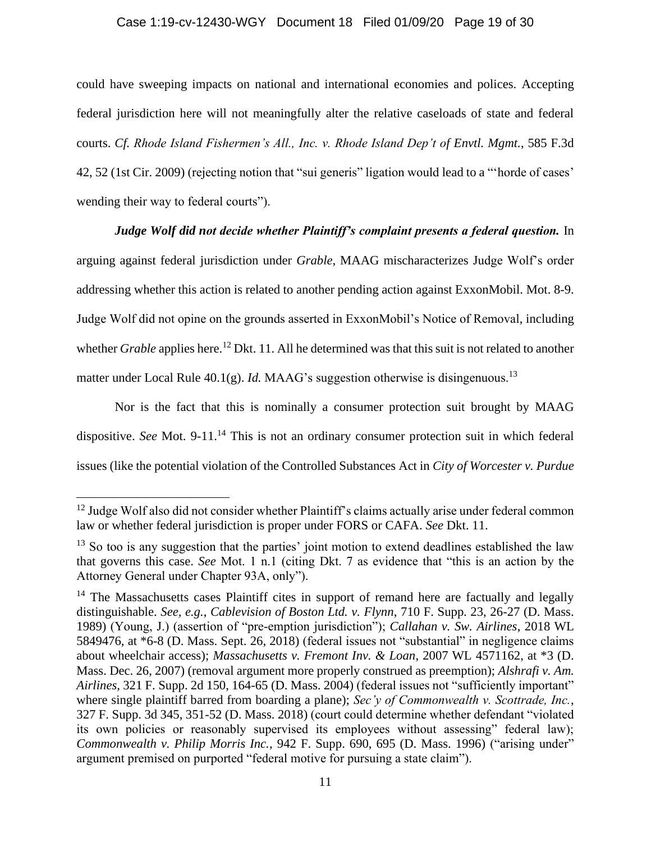#### Case 1:19-cv-12430-WGY Document 18 Filed 01/09/20 Page 19 of 30

could have sweeping impacts on national and international economies and polices. Accepting federal jurisdiction here will not meaningfully alter the relative caseloads of state and federal courts. *Cf. Rhode Island Fishermen's All., Inc. v. Rhode Island Dep't of Envtl. Mgmt.*, 585 F.3d 42, 52 (1st Cir. 2009) (rejecting notion that "sui generis" ligation would lead to a "'horde of cases' wending their way to federal courts").

### *Judge Wolf did not decide whether Plaintiff's complaint presents a federal question.* In

arguing against federal jurisdiction under *Grable*, MAAG mischaracterizes Judge Wolf's order addressing whether this action is related to another pending action against ExxonMobil. Mot. 8-9. Judge Wolf did not opine on the grounds asserted in ExxonMobil's Notice of Removal, including whether *Grable* applies here.<sup>12</sup> Dkt. 11. All he determined was that this suit is not related to another matter under Local Rule  $40.1(g)$ . *Id.* MAAG's suggestion otherwise is disingenuous.<sup>13</sup>

Nor is the fact that this is nominally a consumer protection suit brought by MAAG dispositive. *See* Mot. 9-11.<sup>14</sup> This is not an ordinary consumer protection suit in which federal issues (like the potential violation of the Controlled Substances Act in *City of Worcester v. Purdue* 

<sup>&</sup>lt;sup>12</sup> Judge Wolf also did not consider whether Plaintiff's claims actually arise under federal common law or whether federal jurisdiction is proper under FORS or CAFA. *See* Dkt. 11.

<sup>&</sup>lt;sup>13</sup> So too is any suggestion that the parties' joint motion to extend deadlines established the law that governs this case. *See* Mot. 1 n.1 (citing Dkt. 7 as evidence that "this is an action by the Attorney General under Chapter 93A, only").

<sup>&</sup>lt;sup>14</sup> The Massachusetts cases Plaintiff cites in support of remand here are factually and legally distinguishable. *See, e.g.*, *Cablevision of Boston Ltd. v. Flynn*, 710 F. Supp. 23, 26-27 (D. Mass. 1989) (Young, J.) (assertion of "pre-emption jurisdiction"); *Callahan v. Sw. Airlines*, 2018 WL 5849476, at \*6-8 (D. Mass. Sept. 26, 2018) (federal issues not "substantial" in negligence claims about wheelchair access); *Massachusetts v. Fremont Inv. & Loan*, 2007 WL 4571162, at \*3 (D. Mass. Dec. 26, 2007) (removal argument more properly construed as preemption); *Alshrafi v. Am. Airlines*, 321 F. Supp. 2d 150, 164-65 (D. Mass. 2004) (federal issues not "sufficiently important" where single plaintiff barred from boarding a plane); *Sec'y of Commonwealth v. Scottrade, Inc.*, 327 F. Supp. 3d 345, 351-52 (D. Mass. 2018) (court could determine whether defendant "violated its own policies or reasonably supervised its employees without assessing" federal law); *Commonwealth v. Philip Morris Inc.*, 942 F. Supp. 690, 695 (D. Mass. 1996) ("arising under" argument premised on purported "federal motive for pursuing a state claim").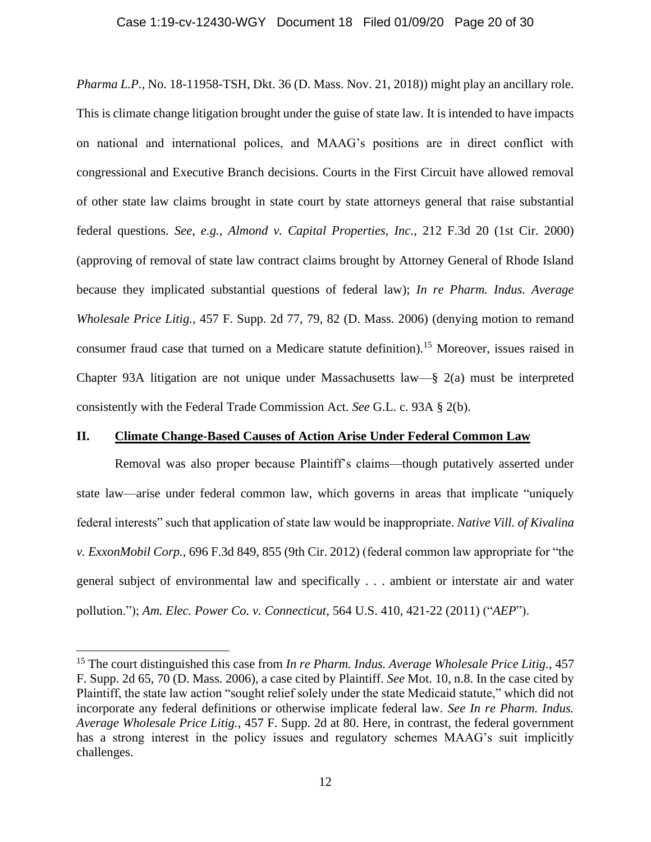*Pharma L.P.*, No. 18-11958-TSH, Dkt. 36 (D. Mass. Nov. 21, 2018)) might play an ancillary role. This is climate change litigation brought under the guise of state law. It is intended to have impacts on national and international polices, and MAAG's positions are in direct conflict with congressional and Executive Branch decisions. Courts in the First Circuit have allowed removal of other state law claims brought in state court by state attorneys general that raise substantial federal questions. *See, e.g.*, *Almond v. Capital Properties, Inc.*, 212 F.3d 20 (1st Cir. 2000) (approving of removal of state law contract claims brought by Attorney General of Rhode Island because they implicated substantial questions of federal law); *In re Pharm. Indus. Average Wholesale Price Litig.*, 457 F. Supp. 2d 77, 79, 82 (D. Mass. 2006) (denying motion to remand consumer fraud case that turned on a Medicare statute definition).<sup>15</sup> Moreover, issues raised in Chapter 93A litigation are not unique under Massachusetts law—§ 2(a) must be interpreted consistently with the Federal Trade Commission Act. *See* G.L. c. 93A § 2(b).

### <span id="page-19-0"></span>**II. Climate Change-Based Causes of Action Arise Under Federal Common Law**

Removal was also proper because Plaintiff's claims—though putatively asserted under state law—arise under federal common law, which governs in areas that implicate "uniquely federal interests" such that application of state law would be inappropriate. *Native Vill. of Kivalina v. ExxonMobil Corp.*, 696 F.3d 849, 855 (9th Cir. 2012) (federal common law appropriate for "the general subject of environmental law and specifically . . . ambient or interstate air and water pollution."); *Am. Elec. Power Co. v. Connecticut*, 564 U.S. 410, 421-22 (2011) ("*AEP*").

<sup>15</sup> The court distinguished this case from *In re Pharm. Indus. Average Wholesale Price Litig.*, 457 F. Supp. 2d 65, 70 (D. Mass. 2006), a case cited by Plaintiff. *See* Mot. 10, n.8. In the case cited by Plaintiff, the state law action "sought relief solely under the state Medicaid statute," which did not incorporate any federal definitions or otherwise implicate federal law. *See In re Pharm. Indus. Average Wholesale Price Litig.*, 457 F. Supp. 2d at 80. Here, in contrast, the federal government has a strong interest in the policy issues and regulatory schemes MAAG's suit implicitly challenges.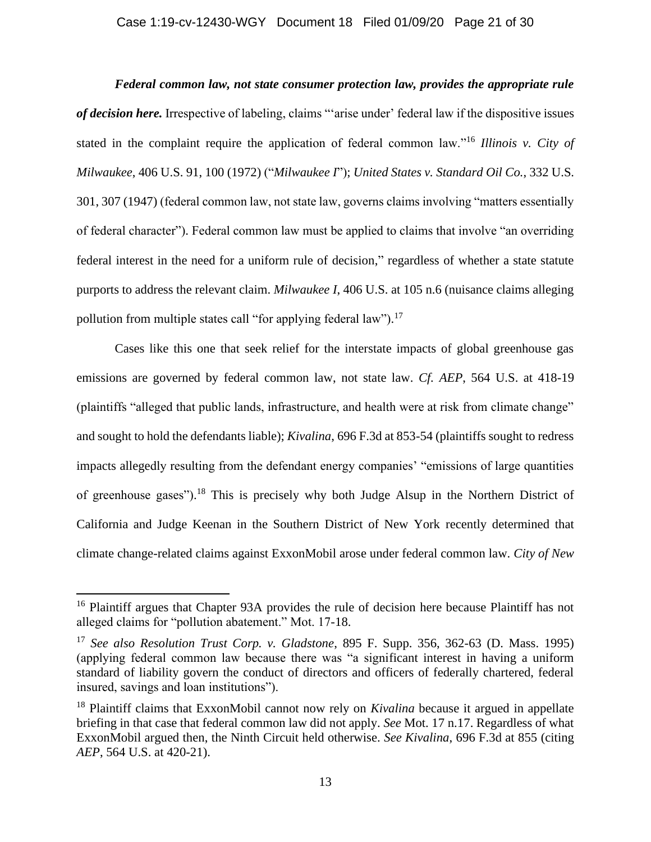#### Case 1:19-cv-12430-WGY Document 18 Filed 01/09/20 Page 21 of 30

*Federal common law, not state consumer protection law, provides the appropriate rule of decision here.* Irrespective of labeling, claims "'arise under' federal law if the dispositive issues stated in the complaint require the application of federal common law."<sup>16</sup> *Illinois v. City of Milwaukee*, 406 U.S. 91, 100 (1972) ("*Milwaukee I*"); *United States v. Standard Oil Co.*, 332 U.S. 301, 307 (1947) (federal common law, not state law, governs claims involving "matters essentially of federal character"). Federal common law must be applied to claims that involve "an overriding federal interest in the need for a uniform rule of decision," regardless of whether a state statute purports to address the relevant claim. *Milwaukee I*, 406 U.S. at 105 n.6 (nuisance claims alleging pollution from multiple states call "for applying federal law").<sup>17</sup>

Cases like this one that seek relief for the interstate impacts of global greenhouse gas emissions are governed by federal common law, not state law. *Cf. AEP*, 564 U.S. at 418-19 (plaintiffs "alleged that public lands, infrastructure, and health were at risk from climate change" and sought to hold the defendants liable); *Kivalina*, 696 F.3d at 853-54 (plaintiffs sought to redress impacts allegedly resulting from the defendant energy companies' "emissions of large quantities of greenhouse gases").<sup>18</sup> This is precisely why both Judge Alsup in the Northern District of California and Judge Keenan in the Southern District of New York recently determined that climate change-related claims against ExxonMobil arose under federal common law. *City of New* 

<sup>&</sup>lt;sup>16</sup> Plaintiff argues that Chapter 93A provides the rule of decision here because Plaintiff has not alleged claims for "pollution abatement." Mot. 17-18.

<sup>17</sup> *See also Resolution Trust Corp. v. Gladstone*, 895 F. Supp. 356, 362-63 (D. Mass. 1995) (applying federal common law because there was "a significant interest in having a uniform standard of liability govern the conduct of directors and officers of federally chartered, federal insured, savings and loan institutions").

<sup>&</sup>lt;sup>18</sup> Plaintiff claims that ExxonMobil cannot now rely on *Kivalina* because it argued in appellate briefing in that case that federal common law did not apply. *See* Mot. 17 n.17. Regardless of what ExxonMobil argued then, the Ninth Circuit held otherwise. *See Kivalina*, 696 F.3d at 855 (citing *AEP*, 564 U.S. at 420-21).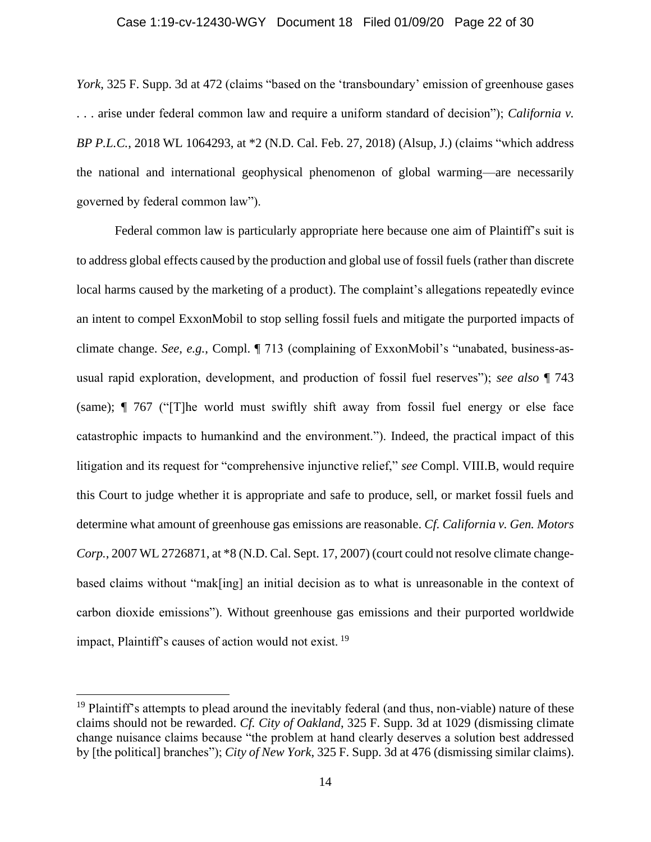#### Case 1:19-cv-12430-WGY Document 18 Filed 01/09/20 Page 22 of 30

*York*, 325 F. Supp. 3d at 472 (claims "based on the 'transboundary' emission of greenhouse gases . . . arise under federal common law and require a uniform standard of decision"); *California v. BP P.L.C.*, 2018 WL 1064293, at \*2 (N.D. Cal. Feb. 27, 2018) (Alsup, J.) (claims "which address the national and international geophysical phenomenon of global warming—are necessarily governed by federal common law").

Federal common law is particularly appropriate here because one aim of Plaintiff's suit is to address global effects caused by the production and global use of fossil fuels (rather than discrete local harms caused by the marketing of a product). The complaint's allegations repeatedly evince an intent to compel ExxonMobil to stop selling fossil fuels and mitigate the purported impacts of climate change. *See, e.g.*, Compl. ¶ 713 (complaining of ExxonMobil's "unabated, business-asusual rapid exploration, development, and production of fossil fuel reserves"); *see also* ¶ 743 (same); ¶ 767 ("[T]he world must swiftly shift away from fossil fuel energy or else face catastrophic impacts to humankind and the environment."). Indeed, the practical impact of this litigation and its request for "comprehensive injunctive relief," *see* Compl. VIII.B, would require this Court to judge whether it is appropriate and safe to produce, sell, or market fossil fuels and determine what amount of greenhouse gas emissions are reasonable. *Cf. California v. Gen. Motors Corp.*, 2007 WL 2726871, at \*8 (N.D. Cal. Sept. 17, 2007) (court could not resolve climate changebased claims without "mak[ing] an initial decision as to what is unreasonable in the context of carbon dioxide emissions"). Without greenhouse gas emissions and their purported worldwide impact, Plaintiff's causes of action would not exist. <sup>19</sup>

 $19$  Plaintiff's attempts to plead around the inevitably federal (and thus, non-viable) nature of these claims should not be rewarded. *Cf. City of Oakland*, 325 F. Supp. 3d at 1029 (dismissing climate change nuisance claims because "the problem at hand clearly deserves a solution best addressed by [the political] branches"); *City of New York*, 325 F. Supp. 3d at 476 (dismissing similar claims).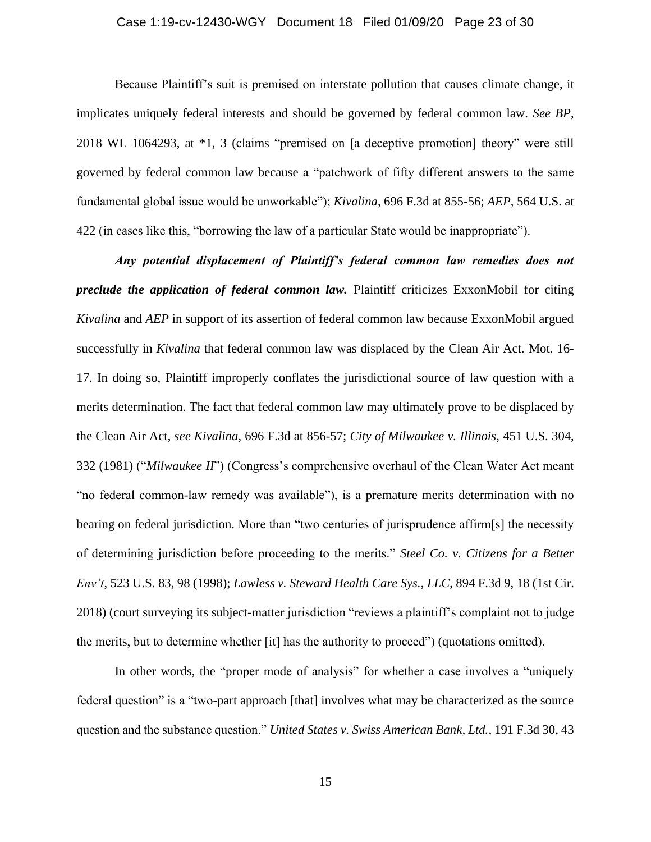#### Case 1:19-cv-12430-WGY Document 18 Filed 01/09/20 Page 23 of 30

Because Plaintiff's suit is premised on interstate pollution that causes climate change, it implicates uniquely federal interests and should be governed by federal common law. *See BP*, 2018 WL 1064293, at \*1, 3 (claims "premised on [a deceptive promotion] theory" were still governed by federal common law because a "patchwork of fifty different answers to the same fundamental global issue would be unworkable"); *Kivalina*, 696 F.3d at 855-56; *AEP*, 564 U.S. at 422 (in cases like this, "borrowing the law of a particular State would be inappropriate").

*Any potential displacement of Plaintiff's federal common law remedies does not preclude the application of federal common law.* Plaintiff criticizes ExxonMobil for citing *Kivalina* and *AEP* in support of its assertion of federal common law because ExxonMobil argued successfully in *Kivalina* that federal common law was displaced by the Clean Air Act. Mot. 16- 17. In doing so, Plaintiff improperly conflates the jurisdictional source of law question with a merits determination. The fact that federal common law may ultimately prove to be displaced by the Clean Air Act, *see Kivalina*, 696 F.3d at 856-57; *City of Milwaukee v. Illinois*, 451 U.S. 304, 332 (1981) ("*Milwaukee II*") (Congress's comprehensive overhaul of the Clean Water Act meant "no federal common-law remedy was available"), is a premature merits determination with no bearing on federal jurisdiction. More than "two centuries of jurisprudence affirm[s] the necessity of determining jurisdiction before proceeding to the merits." *Steel Co. v. Citizens for a Better Env't*, 523 U.S. 83, 98 (1998); *Lawless v. Steward Health Care Sys.*, *LLC*, 894 F.3d 9, 18 (1st Cir. 2018) (court surveying its subject-matter jurisdiction "reviews a plaintiff's complaint not to judge the merits, but to determine whether [it] has the authority to proceed") (quotations omitted).

In other words, the "proper mode of analysis" for whether a case involves a "uniquely federal question" is a "two-part approach [that] involves what may be characterized as the source question and the substance question." *United States v. Swiss American Bank, Ltd.*, 191 F.3d 30, 43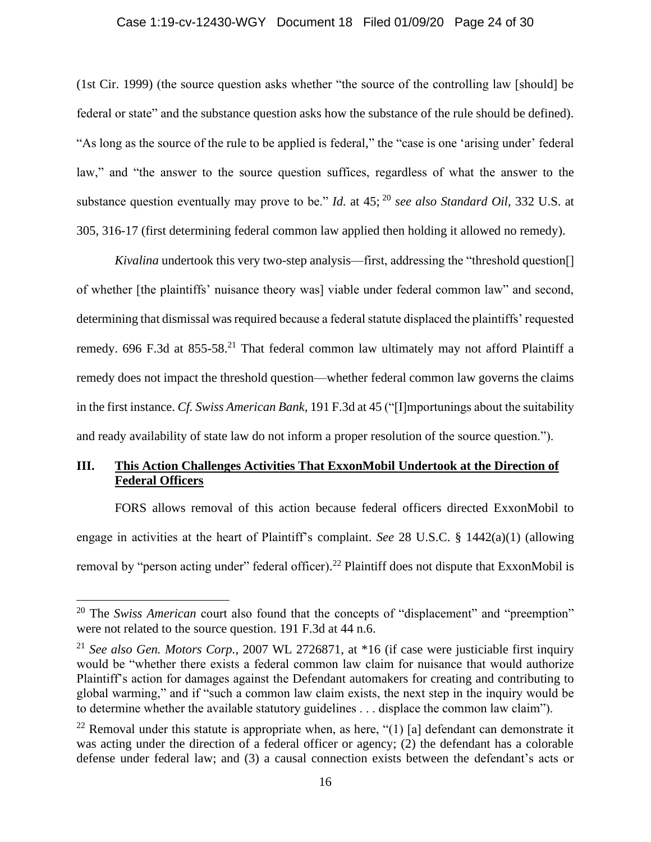#### Case 1:19-cv-12430-WGY Document 18 Filed 01/09/20 Page 24 of 30

(1st Cir. 1999) (the source question asks whether "the source of the controlling law [should] be federal or state" and the substance question asks how the substance of the rule should be defined). "As long as the source of the rule to be applied is federal," the "case is one 'arising under' federal law," and "the answer to the source question suffices, regardless of what the answer to the substance question eventually may prove to be." *Id.* at 45; <sup>20</sup> *see also Standard Oil*, 332 U.S. at 305, 316-17 (first determining federal common law applied then holding it allowed no remedy).

*Kivalina* undertook this very two-step analysis—first, addressing the "threshold question. of whether [the plaintiffs' nuisance theory was] viable under federal common law" and second, determining that dismissal was required because a federal statute displaced the plaintiffs' requested remedy. 696 F.3d at 855-58.<sup>21</sup> That federal common law ultimately may not afford Plaintiff a remedy does not impact the threshold question—whether federal common law governs the claims in the first instance. *Cf. Swiss American Bank*, 191 F.3d at 45 ("[I]mportunings about the suitability and ready availability of state law do not inform a proper resolution of the source question.").

### <span id="page-23-0"></span>**III. This Action Challenges Activities That ExxonMobil Undertook at the Direction of Federal Officers**

FORS allows removal of this action because federal officers directed ExxonMobil to engage in activities at the heart of Plaintiff's complaint. *See* 28 U.S.C. § 1442(a)(1) (allowing removal by "person acting under" federal officer).<sup>22</sup> Plaintiff does not dispute that ExxonMobil is

<sup>&</sup>lt;sup>20</sup> The *Swiss American* court also found that the concepts of "displacement" and "preemption" were not related to the source question. 191 F.3d at 44 n.6.

<sup>21</sup> *See also Gen. Motors Corp.*, 2007 WL 2726871, at \*16 (if case were justiciable first inquiry would be "whether there exists a federal common law claim for nuisance that would authorize Plaintiff's action for damages against the Defendant automakers for creating and contributing to global warming," and if "such a common law claim exists, the next step in the inquiry would be to determine whether the available statutory guidelines . . . displace the common law claim").

<sup>&</sup>lt;sup>22</sup> Removal under this statute is appropriate when, as here, "(1) [a] defendant can demonstrate it was acting under the direction of a federal officer or agency; (2) the defendant has a colorable defense under federal law; and (3) a causal connection exists between the defendant's acts or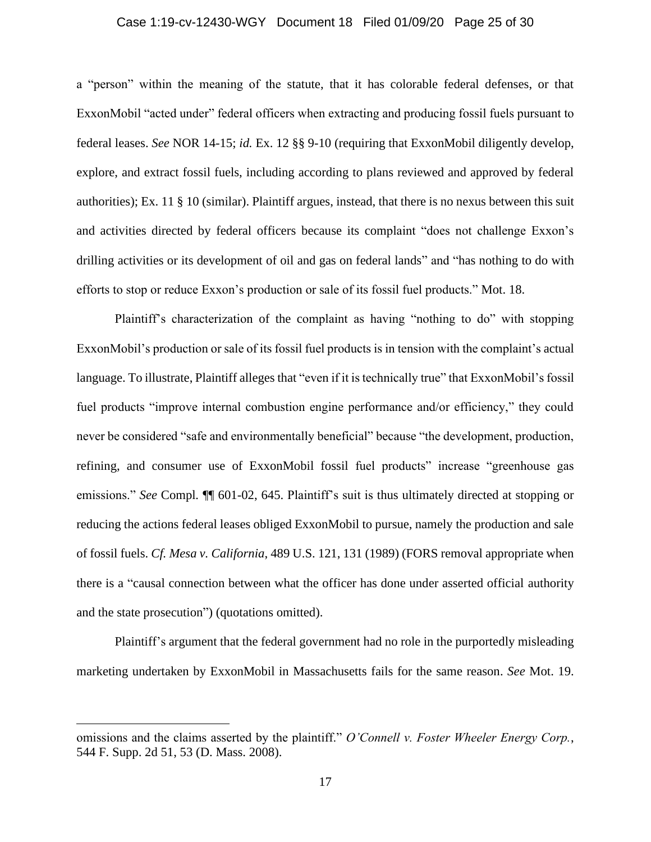#### Case 1:19-cv-12430-WGY Document 18 Filed 01/09/20 Page 25 of 30

a "person" within the meaning of the statute, that it has colorable federal defenses, or that ExxonMobil "acted under" federal officers when extracting and producing fossil fuels pursuant to federal leases. *See* NOR 14-15; *id.* Ex. 12 §§ 9-10 (requiring that ExxonMobil diligently develop, explore, and extract fossil fuels, including according to plans reviewed and approved by federal authorities); Ex. 11 § 10 (similar). Plaintiff argues, instead, that there is no nexus between this suit and activities directed by federal officers because its complaint "does not challenge Exxon's drilling activities or its development of oil and gas on federal lands" and "has nothing to do with efforts to stop or reduce Exxon's production or sale of its fossil fuel products." Mot. 18.

Plaintiff's characterization of the complaint as having "nothing to do" with stopping ExxonMobil's production or sale of its fossil fuel products is in tension with the complaint's actual language. To illustrate, Plaintiff alleges that "even if it is technically true" that ExxonMobil's fossil fuel products "improve internal combustion engine performance and/or efficiency," they could never be considered "safe and environmentally beneficial" because "the development, production, refining, and consumer use of ExxonMobil fossil fuel products" increase "greenhouse gas emissions." *See* Compl*.* ¶¶ 601-02, 645. Plaintiff's suit is thus ultimately directed at stopping or reducing the actions federal leases obliged ExxonMobil to pursue, namely the production and sale of fossil fuels. *Cf. Mesa v. California*, 489 U.S. 121, 131 (1989) (FORS removal appropriate when there is a "causal connection between what the officer has done under asserted official authority and the state prosecution") (quotations omitted).

Plaintiff's argument that the federal government had no role in the purportedly misleading marketing undertaken by ExxonMobil in Massachusetts fails for the same reason. *See* Mot. 19.

omissions and the claims asserted by the plaintiff." *O'Connell v. Foster Wheeler Energy Corp.*, 544 F. Supp. 2d 51, 53 (D. Mass. 2008).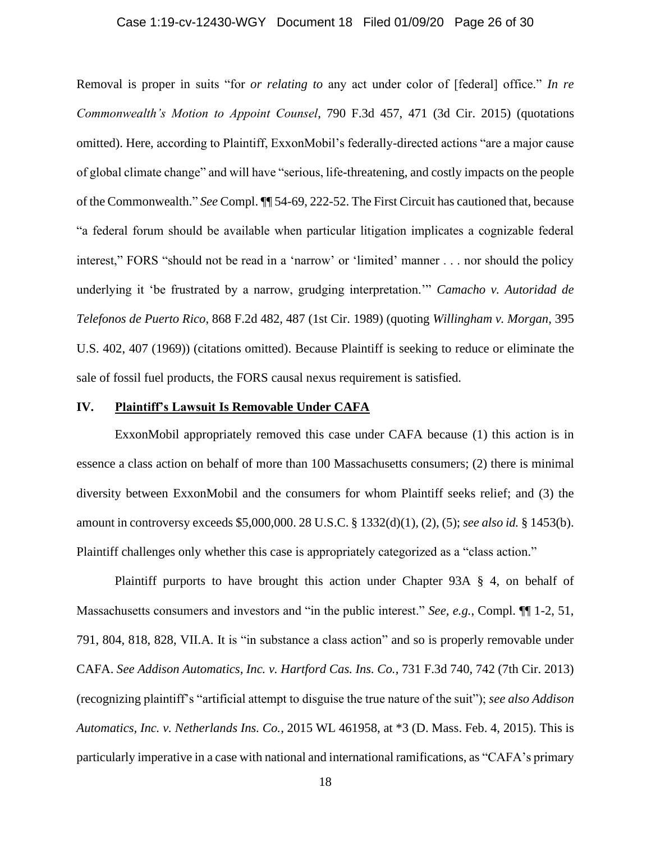#### Case 1:19-cv-12430-WGY Document 18 Filed 01/09/20 Page 26 of 30

Removal is proper in suits "for *or relating to* any act under color of [federal] office." *In re Commonwealth's Motion to Appoint Counsel*, 790 F.3d 457, 471 (3d Cir. 2015) (quotations omitted). Here, according to Plaintiff, ExxonMobil's federally-directed actions "are a major cause of global climate change" and will have "serious, life-threatening, and costly impacts on the people of the Commonwealth." *See* Compl. ¶¶ 54-69, 222-52. The First Circuit has cautioned that, because "a federal forum should be available when particular litigation implicates a cognizable federal interest," FORS "should not be read in a 'narrow' or 'limited' manner . . . nor should the policy underlying it 'be frustrated by a narrow, grudging interpretation.'" *Camacho v. Autoridad de Telefonos de Puerto Rico*, 868 F.2d 482, 487 (1st Cir. 1989) (quoting *Willingham v. Morgan*, 395 U.S. 402, 407 (1969)) (citations omitted). Because Plaintiff is seeking to reduce or eliminate the sale of fossil fuel products, the FORS causal nexus requirement is satisfied.

### <span id="page-25-0"></span>**IV. Plaintiff's Lawsuit Is Removable Under CAFA**

ExxonMobil appropriately removed this case under CAFA because (1) this action is in essence a class action on behalf of more than 100 Massachusetts consumers; (2) there is minimal diversity between ExxonMobil and the consumers for whom Plaintiff seeks relief; and (3) the amount in controversy exceeds \$5,000,000. 28 U.S.C. § 1332(d)(1), (2), (5); *see also id.* § 1453(b). Plaintiff challenges only whether this case is appropriately categorized as a "class action."

Plaintiff purports to have brought this action under Chapter 93A § 4, on behalf of Massachusetts consumers and investors and "in the public interest." *See, e.g.*, Compl. ¶¶ 1-2, 51, 791, 804, 818, 828, VII.A. It is "in substance a class action" and so is properly removable under CAFA. *See Addison Automatics, Inc. v. Hartford Cas. Ins. Co.*, 731 F.3d 740, 742 (7th Cir. 2013) (recognizing plaintiff's "artificial attempt to disguise the true nature of the suit"); *see also Addison Automatics, Inc. v. Netherlands Ins. Co.*, 2015 WL 461958, at \*3 (D. Mass. Feb. 4, 2015). This is particularly imperative in a case with national and international ramifications, as "CAFA's primary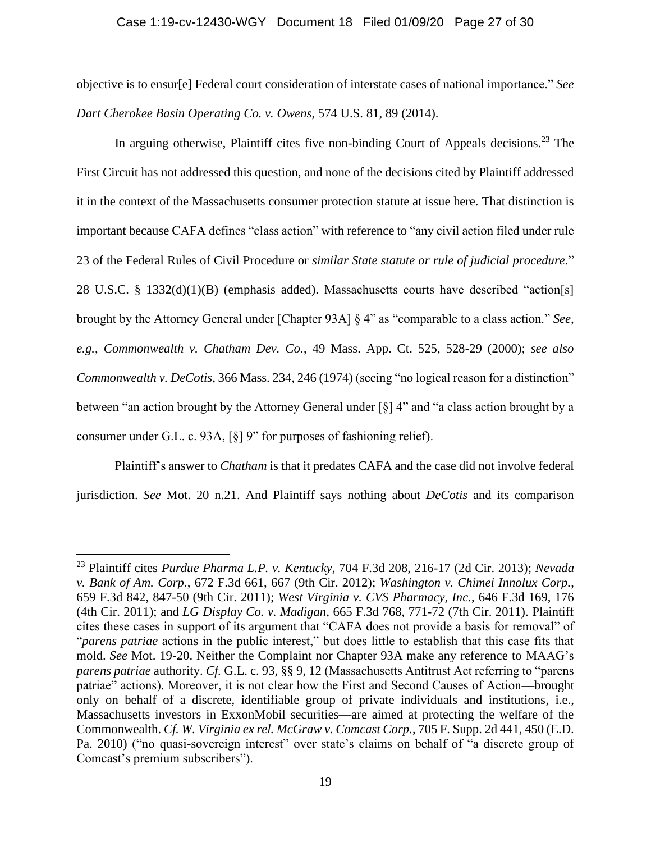#### Case 1:19-cv-12430-WGY Document 18 Filed 01/09/20 Page 27 of 30

objective is to ensur[e] Federal court consideration of interstate cases of national importance." *See Dart Cherokee Basin Operating Co. v. Owens*, 574 U.S. 81, 89 (2014).

In arguing otherwise, Plaintiff cites five non-binding Court of Appeals decisions.<sup>23</sup> The First Circuit has not addressed this question, and none of the decisions cited by Plaintiff addressed it in the context of the Massachusetts consumer protection statute at issue here. That distinction is important because CAFA defines "class action" with reference to "any civil action filed under rule 23 of the Federal Rules of Civil Procedure or *similar State statute or rule of judicial procedure*." 28 U.S.C. § 1332(d)(1)(B) (emphasis added). Massachusetts courts have described "action[s] brought by the Attorney General under [Chapter 93A] § 4" as "comparable to a class action." *See, e.g.*, *Commonwealth v. Chatham Dev. Co.*, 49 Mass. App. Ct. 525, 528-29 (2000); *see also Commonwealth v. DeCotis*, 366 Mass. 234, 246 (1974) (seeing "no logical reason for a distinction" between "an action brought by the Attorney General under [§] 4" and "a class action brought by a consumer under G.L. c. 93A, [§] 9" for purposes of fashioning relief).

Plaintiff's answer to *Chatham* is that it predates CAFA and the case did not involve federal jurisdiction. *See* Mot. 20 n.21. And Plaintiff says nothing about *DeCotis* and its comparison

<sup>23</sup> Plaintiff cites *Purdue Pharma L.P. v. Kentucky*, 704 F.3d 208, 216-17 (2d Cir. 2013); *Nevada v. Bank of Am. Corp.*, 672 F.3d 661, 667 (9th Cir. 2012); *Washington v. Chimei Innolux Corp.*, 659 F.3d 842, 847-50 (9th Cir. 2011); *West Virginia v. CVS Pharmacy, Inc.*, 646 F.3d 169, 176 (4th Cir. 2011); and *LG Display Co. v. Madigan*, 665 F.3d 768, 771-72 (7th Cir. 2011). Plaintiff cites these cases in support of its argument that "CAFA does not provide a basis for removal" of "*parens patriae* actions in the public interest," but does little to establish that this case fits that mold. *See* Mot. 19-20. Neither the Complaint nor Chapter 93A make any reference to MAAG's *parens patriae* authority. *Cf.* G.L. c. 93, §§ 9, 12 (Massachusetts Antitrust Act referring to "parens patriae" actions). Moreover, it is not clear how the First and Second Causes of Action—brought only on behalf of a discrete, identifiable group of private individuals and institutions, i.e., Massachusetts investors in ExxonMobil securities—are aimed at protecting the welfare of the Commonwealth. *Cf. W. Virginia ex rel. McGraw v. Comcast Corp.*, 705 F. Supp. 2d 441, 450 (E.D. Pa. 2010) ("no quasi-sovereign interest" over state's claims on behalf of "a discrete group of Comcast's premium subscribers").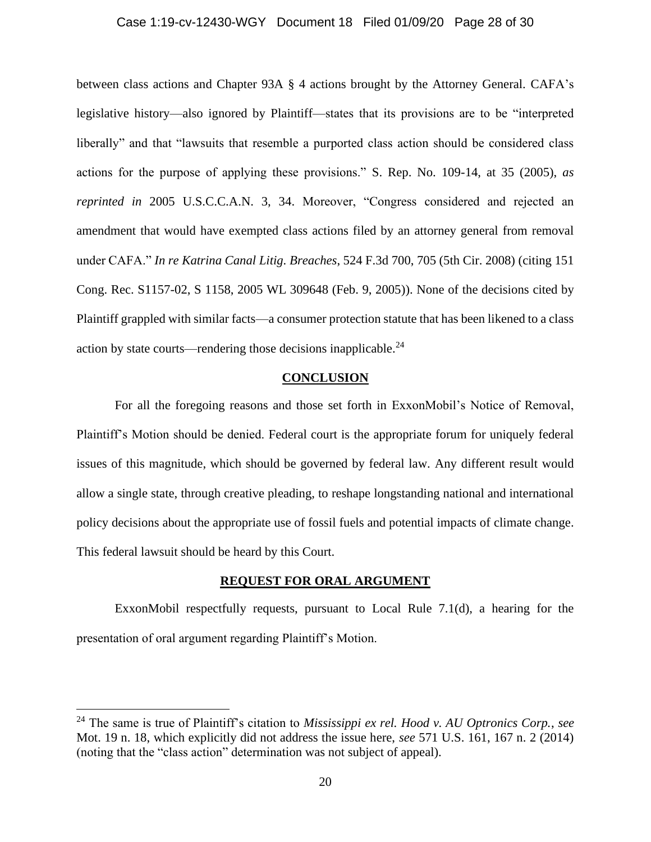#### Case 1:19-cv-12430-WGY Document 18 Filed 01/09/20 Page 28 of 30

between class actions and Chapter 93A § 4 actions brought by the Attorney General. CAFA's legislative history—also ignored by Plaintiff—states that its provisions are to be "interpreted liberally" and that "lawsuits that resemble a purported class action should be considered class actions for the purpose of applying these provisions." S. Rep. No. 109-14, at 35 (2005), *as reprinted in* 2005 U.S.C.C.A.N. 3, 34. Moreover, "Congress considered and rejected an amendment that would have exempted class actions filed by an attorney general from removal under CAFA." *In re Katrina Canal Litig. Breaches*, 524 F.3d 700, 705 (5th Cir. 2008) (citing 151 Cong. Rec. S1157-02, S 1158, 2005 WL 309648 (Feb. 9, 2005)). None of the decisions cited by Plaintiff grappled with similar facts—a consumer protection statute that has been likened to a class action by state courts—rendering those decisions inapplicable.<sup>24</sup>

### **CONCLUSION**

<span id="page-27-0"></span>For all the foregoing reasons and those set forth in ExxonMobil's Notice of Removal, Plaintiff's Motion should be denied. Federal court is the appropriate forum for uniquely federal issues of this magnitude, which should be governed by federal law. Any different result would allow a single state, through creative pleading, to reshape longstanding national and international policy decisions about the appropriate use of fossil fuels and potential impacts of climate change. This federal lawsuit should be heard by this Court.

### **REQUEST FOR ORAL ARGUMENT**

<span id="page-27-1"></span>ExxonMobil respectfully requests, pursuant to Local Rule 7.1(d), a hearing for the presentation of oral argument regarding Plaintiff's Motion.

<sup>24</sup> The same is true of Plaintiff's citation to *Mississippi ex rel. Hood v. AU Optronics Corp.*, *see*  Mot. 19 n. 18, which explicitly did not address the issue here, *see* 571 U.S. 161, 167 n. 2 (2014) (noting that the "class action" determination was not subject of appeal).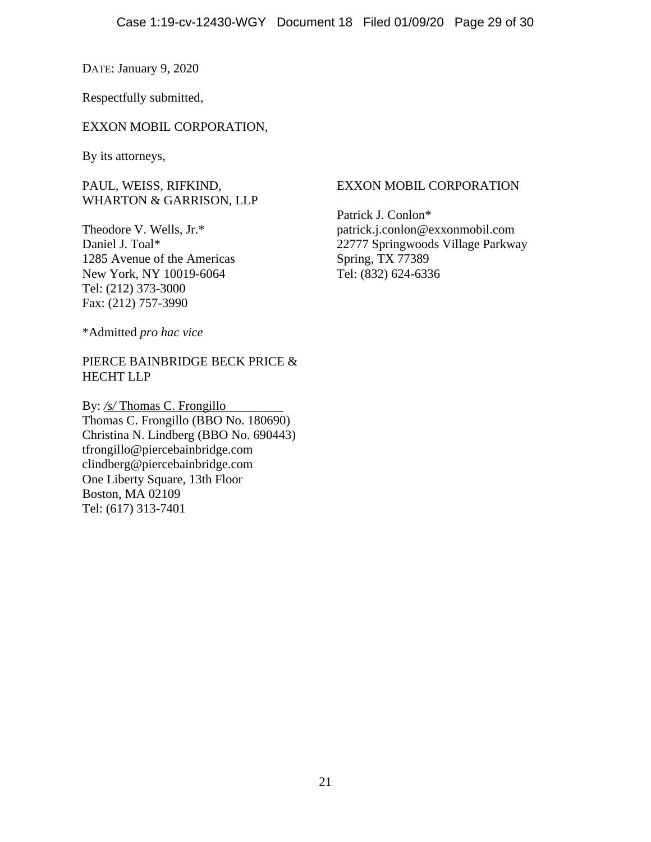DATE: January 9, 2020

Respectfully submitted,

### EXXON MOBIL CORPORATION,

By its attorneys,

PAUL, WEISS, RIFKIND, WHARTON & GARRISON, LLP

Theodore V. Wells, Jr.\* Daniel J. Toal\* 1285 Avenue of the Americas New York, NY 10019-6064 Tel: (212) 373-3000 Fax: (212) 757-3990

\*Admitted *pro hac vice*

PIERCE BAINBRIDGE BECK PRICE & HECHT LLP

By: */s/* Thomas C. Frongillo Thomas C. Frongillo (BBO No. 180690) Christina N. Lindberg (BBO No. 690443) tfrongillo@piercebainbridge.com clindberg@piercebainbridge.com One Liberty Square, 13th Floor Boston, MA 02109 Tel: (617) 313-7401

### EXXON MOBIL CORPORATION

Patrick J. Conlon\* patrick.j.conlon@exxonmobil.com 22777 Springwoods Village Parkway Spring, TX 77389 Tel: (832) 624-6336